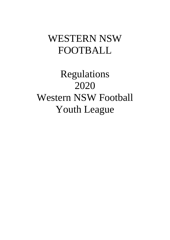# WESTERN NSW FOOTBALL

Regulations 2020 Western NSW Football Youth League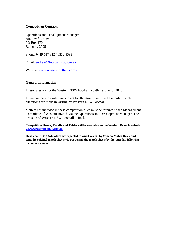#### **Competition Contacts**

Operations and Development Manager Andrew Fearnley PO Box 1704 Bathurst. 2795

Phone: 0419 617 312 / 6332 5593

Email: andrew@footballnsw.com.au

Website: www.westernfootball.com.au

#### **General Information**

These rules are for the Western NSW Football Youth League for 2020

These competition rules are subject to alteration, if required, but only if such alterations are made in writing by Western NSW Football.

Matters not included in these competition rules must be referred to the Management Committee of Western Branch via the Operations and Development Manager. The decision of Western NSW Football is final.

**Competition Draws, Results and Tables will be available on the Western Branch website www.westernfootball.com.au**

**Host Venue Co-Ordinators are expected to email results by 9pm on Match Days, and send the original match sheets via post/email the match sheets by the Tuesday following games at a venue.**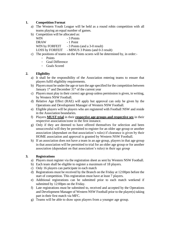# **1. Competition Format**

- a) The Western Youth League will be held as a round robin competition with all teams playing an equal number of games.
- b) Competition will be allocated as:

 $WIN$   $-3$  Points DRAW - 1 Point WIN by FORFEIT - 3 Points (and a 3-0 result) LOSS by FORFEIT - MINUS 3 Points (and 0-3 result)

- c) The positions of teams on the Points scores will be determined by, in order:-
	- Points
		- Goal Difference
		- Goals Scored

## **2. Eligibility**

- a) It shall be the responsibility of the Association entering teams to ensure that players fulfil eligibility requirements.
- b) Players must be under the age or turn the age specified for the competition between January  $1<sup>st</sup>$  and December  $31<sup>st</sup>$  of the current year
- c) Players must play in their correct age group unless permission is given, in writing, by Western NSW Football.
- d) Relative Age Effect (RAE) will apply but approval can only be given by the Operations and Development Manager of Western NSW Football.
- e) Eligible players will be players who are registered with Football NSW and reside in the Association boundaries.
- f) Players **MUST trial** in their **respective age groups and respective sex** in their respective association/zone in the first instance.
- g) Only if they are deemed to have offered themselves for selection and been unsuccessful will they be permitted to register for an older age group or another association (dependant on that association's rules) if clearance is given by their HOME association and approval is granted by Western NSW Football.
- h) If an association does not have a team in an age group, players in that age group in that association will be permitted to trial for an older age group or for another association (dependant on that association's rules) in their age group

## **3. Registrations**

- a) Players must register via the registration sheet as sent by Western NSW Football.
- b) Each team shall be eligible to register a maximum of 18 players.
- c) Only 16 players can participate in each match
- d) Registrations must be received by the Branch on the Friday at 12:00pm before the start of competition. This registration must have at least 7 players.
- e) Additional registrations can be submitted prior to each match weekend if submitted by 12:00pm on the Friday.
- f) Late registrations must be submitted to, received and accepted by the Operations and Development Manager of Western NSW Football prior to the player(s) taking part in their first match via MFC.
- g) Teams will be able to draw upon players from a younger age group.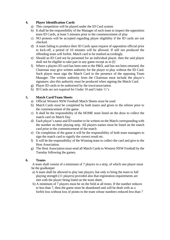# **4. Player Identification Cards**

- a) This competition will be played under the ID Card system
- b) It shall be the responsibility of the Manager of each team to inspect the opposition team ID Cards, at least 5 minutes prior to the commencement of play
- c) NO protests will be accepted regarding player eligibility if the ID cards are not checked.
- d) A team failing to produce their ID Cards upon request of opposition official prior to kick-off, a period of 10 minutes will be allowed. If still not produced the offending team will forfeit. Match card to be marked accordingly.
- e) Should an ID Card not be presented for an individual player, then the said player shall not be eligible to take part in any game except as in (f)
- f) Where a players ID card has been sent to the P&D, and has not been returned, the Chairman may give written authority for the player to play without the ID Card. Such player must sign the Match Card in the presence of the opposing Team Manager. The written authority from the Chairman must include the player's signature; also this authority must be produced when signing the Match Card.
- g) Player ID cards to be authorised by the town/association.
- h) ID Cards are not required for Under 10 and Under 11's

# **5. Match Card/Team Sheets**

- a) Official Western NSW Football Match Sheets must be used
- b) Match Cards must be completed by both teams and given to the referee prior to the commencement of the game.
- c) It shall be the responsibility of the HOME team listed on the draw to collect the match card on Match Day
- d) Each player's name and ID number to be written on the Match corresponding with the number on their playing strip. All players names must be listed on the match card prior to the commencement of the match
- e) On completion of the game it will be the responsibility of both team managers to sign the match card to signify the correct result etc.
- f) It will be the responsibility of the Winning team to collect the card and give to the Host Association.
- g) The Host Association must send all Match Cards to Western NSW Football by the Tuesday following the games.

## **6. Teams**

A team shall consist of a minimum of 7 players in a strip, of which one player must be the goalkeeper

- a) A team shall be allowed to play late players, but only to bring the team to full playing strength (11 players) provided also that registration requirements are met with the player being listed on the team sheet.
- b) A minimum of 7 players must be on the field at all times. If the number reduces to less than 7, then the game must be abandoned and will be dealt with as a forfeit loss without loss of points to the team whose numbers reduced less than 7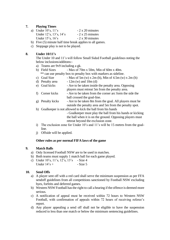# **7. Playing Times**

| a) Under $10$ 's, $11$ 's | $-2 \times 20$ minutes |
|---------------------------|------------------------|
| Under 12's, 13's, 14's    | $-2 \times 25$ minutes |
| Under $15$ 's, $16$ 's    | $-2 \times 30$ minutes |

- b) Five (5) minute half time break applies to all games.
- c) Stoppage play is not to be played.

# **8. Under 10/11's**

The Under 10 and 11's will follow Small Sided Football guidelines noting the below inclusions/additons:-

- a) Teams are 9v9 including a gk.
- b) Field Sizes Max of 70m x 50m, Min of 60m x 40m. \*\* can use penalty box to penalty box with markers as sideline.
- c) Goal Size Max of  $5m(w) \times 2m(h)$ , Min of  $4.5m(w) \times 2m(h)$
- d) Penalty area  $-12m(w)$  and  $10m(d)$
- e) Goal kicks Are to be taken inside the penalty area. Opposing players must retreat 5m from the penalty area.
- f) Corner kicks Are to be taken from the corner arc form the side the ball crossed the goal-line.
- g) Penalty kicks Are to be taken 8m from the goal. All players must be outside the penalty area and 5m from the penalty spot.
- h) Goalkeeper is not allowed to kick the ball from his hands

- Goalkeeper must play the ball from his hands or kicking the ball when it is on the ground. Opposing players must retreat beyond the exclusion zone.

- i) The exclusion zone for Under 10's and 11's will be 15 metres from the goalline.
- j) Offside will be applied.

## **Other rules as per normal FIFA laws of the game**

## **9. Match Balls**

- a) Only licensed Football NSW are to be used in matches.
- b) Both teams must supply 1 match ball for each game played.
- c) Under 10's, 11's, 12's, 13's Size 4 Under  $14's +$  - Size 5

## **10. Send Offs**

- a) A player sent off with a red card shall serve the minimum suspension as per FFA sendoff guidelines from all competitions sanctioned by Football NSW excluding byes, forfeits and deferred games.
- b) Western NSW Football has the right to call a hearing if the offence is deemed more serious.
- c) A notification of appeal must be received within 72 hours to Western NSW Football, with confirmation of appeals within 72 hours of receiving referee's report.
- d) Any player appealing a send off shall not be eligible to have the suspension reduced to less than one match or below the minimum sentencing guidelines.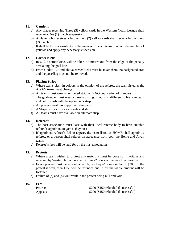# **11. Cautions**

- a) Any player receiving Three (3) yellow cards in the Western Youth League shall receive a One (1) match suspension.
- b) A player who receives a further Two (2) yellow cards shall serve a further Two (2) matches.
- c) It shall be the responsibility of the manager of each team to record the number of yellows and apply any necessary suspension

# **12. Corner Kicks**

- a) In U12's corner kicks will be taken 7.5 metres out from the edge of the penalty area along the goal line.
- b) From Under 13's and above corner kicks must be taken from the designated area and the post/flag must not be removed.

# **13. Playing Strips**

- a) Where teams clash in colours in the opinion of the referee, the team listed as the AWAY team, must change
- b) All teams must wear a numbered strip, with NO duplication of numbers
- c) The goalkeeper must wear a clearly distinguished shirt different to his own team and not to clash with the opponent's strip.
- d) All players must have approved shin pads.
- e) A Strip consists of socks, shorts and shirt.
- f) All teams must have available an alternate strip.

## **14. Referee's**

- a) The host association must liase with their local referee body to have suitable referee's appointed to games they host
- b) If appointed referee's fail to appear, the team listed as HOME shall appoint a referee, or a person shall referee on agreeance from both the Home and Away teams
- c) Referee's fees will be paid for by the host association

## **15. Protests**

- a) Where a team wishes to protest any match, it must be done so in writing and received by Western NSW Football within 72 hours of the match in question.
- b) Every protest must be accompanied by a cheque/money order of \$200. If the protest is won, then \$150 will be refunded and if lost the whole amount will be forfeited.
- c) Failure of (a) and (b) will result in the protest being null and void

#### **16. Fees**

| <b>Protests</b> | - \$200 (\$150 refunded if successful) |
|-----------------|----------------------------------------|
| Appeals         | - \$200 (\$150 refunded if successful) |